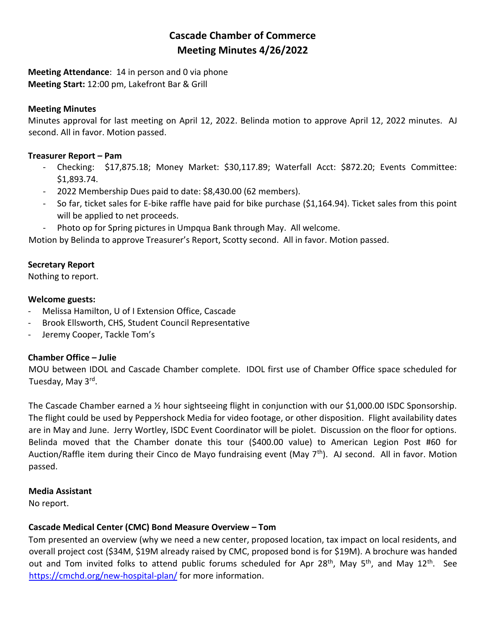# **Cascade Chamber of Commerce Meeting Minutes 4/26/2022**

**Meeting Attendance**: 14 in person and 0 via phone **Meeting Start:** 12:00 pm, Lakefront Bar & Grill

## **Meeting Minutes**

Minutes approval for last meeting on April 12, 2022. Belinda motion to approve April 12, 2022 minutes. AJ second. All in favor. Motion passed.

## **Treasurer Report – Pam**

- Checking: \$17,875.18; Money Market: \$30,117.89; Waterfall Acct: \$872.20; Events Committee: \$1,893.74.
- 2022 Membership Dues paid to date: \$8,430.00 (62 members).
- So far, ticket sales for E-bike raffle have paid for bike purchase (\$1,164.94). Ticket sales from this point will be applied to net proceeds.
- Photo op for Spring pictures in Umpqua Bank through May. All welcome.

Motion by Belinda to approve Treasurer's Report, Scotty second. All in favor. Motion passed.

# **Secretary Report**

Nothing to report.

## **Welcome guests:**

- Melissa Hamilton, U of I Extension Office, Cascade
- Brook Ellsworth, CHS, Student Council Representative
- Jeremy Cooper, Tackle Tom's

# **Chamber Office – Julie**

MOU between IDOL and Cascade Chamber complete. IDOL first use of Chamber Office space scheduled for Tuesday, May 3<sup>rd</sup>.

The Cascade Chamber earned a ½ hour sightseeing flight in conjunction with our \$1,000.00 ISDC Sponsorship. The flight could be used by Peppershock Media for video footage, or other disposition. Flight availability dates are in May and June. Jerry Wortley, ISDC Event Coordinator will be piolet. Discussion on the floor for options. Belinda moved that the Chamber donate this tour (\$400.00 value) to American Legion Post #60 for Auction/Raffle item during their Cinco de Mayo fundraising event (May 7th). AJ second. All in favor. Motion passed.

# **Media Assistant**

No report.

# **Cascade Medical Center (CMC) Bond Measure Overview – Tom**

Tom presented an overview (why we need a new center, proposed location, tax impact on local residents, and overall project cost (\$34M, \$19M already raised by CMC, proposed bond is for \$19M). A brochure was handed out and Tom invited folks to attend public forums scheduled for Apr 28<sup>th</sup>, May 5<sup>th</sup>, and May 12<sup>th</sup>. See <https://cmchd.org/new-hospital-plan/> for more information.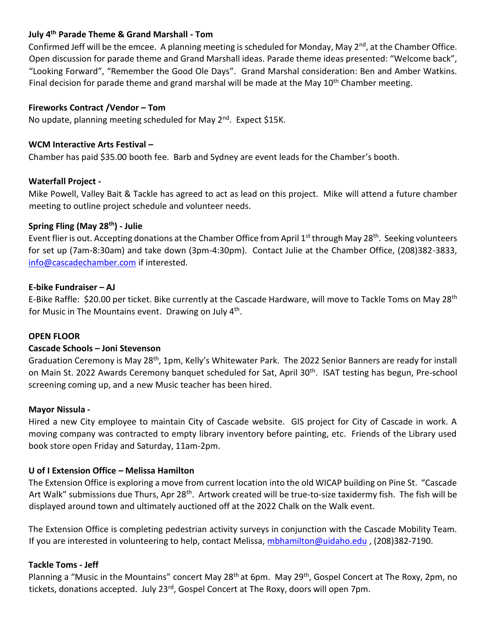# **July 4th Parade Theme & Grand Marshall - Tom**

Confirmed Jeff will be the emcee. A planning meeting is scheduled for Monday, May 2<sup>nd</sup>, at the Chamber Office. Open discussion for parade theme and Grand Marshall ideas. Parade theme ideas presented: "Welcome back", "Looking Forward", "Remember the Good Ole Days". Grand Marshal consideration: Ben and Amber Watkins. Final decision for parade theme and grand marshal will be made at the May  $10<sup>th</sup>$  Chamber meeting.

## **Fireworks Contract /Vendor – Tom**

No update, planning meeting scheduled for May 2<sup>nd</sup>. Expect \$15K.

## **WCM Interactive Arts Festival –**

Chamber has paid \$35.00 booth fee. Barb and Sydney are event leads for the Chamber's booth.

## **Waterfall Project -**

Mike Powell, Valley Bait & Tackle has agreed to act as lead on this project. Mike will attend a future chamber meeting to outline project schedule and volunteer needs.

## **Spring Fling (May 28th) - Julie**

Event flier is out. Accepting donations at the Chamber Office from April 1<sup>st</sup> through May 28<sup>th</sup>. Seeking volunteers for set up (7am-8:30am) and take down (3pm-4:30pm). Contact Julie at the Chamber Office, (208)382-3833, [info@cascadechamber.com](mailto:info@cascadechamber.com) if interested.

## **E-bike Fundraiser – AJ**

E-Bike Raffle: \$20.00 per ticket. Bike currently at the Cascade Hardware, will move to Tackle Toms on May 28<sup>th</sup> for Music in The Mountains event. Drawing on July 4<sup>th</sup>.

## **OPEN FLOOR**

## **Cascade Schools – Joni Stevenson**

Graduation Ceremony is May 28<sup>th</sup>, 1pm, Kelly's Whitewater Park. The 2022 Senior Banners are ready for install on Main St. 2022 Awards Ceremony banquet scheduled for Sat, April 30<sup>th</sup>. ISAT testing has begun, Pre-school screening coming up, and a new Music teacher has been hired.

## **Mayor Nissula -**

Hired a new City employee to maintain City of Cascade website. GIS project for City of Cascade in work. A moving company was contracted to empty library inventory before painting, etc. Friends of the Library used book store open Friday and Saturday, 11am-2pm.

## **U of I Extension Office – Melissa Hamilton**

The Extension Office is exploring a move from current location into the old WICAP building on Pine St. "Cascade Art Walk" submissions due Thurs, Apr 28<sup>th</sup>. Artwork created will be true-to-size taxidermy fish. The fish will be displayed around town and ultimately auctioned off at the 2022 Chalk on the Walk event.

The Extension Office is completing pedestrian activity surveys in conjunction with the Cascade Mobility Team. If you are interested in volunteering to help, contact Melissa, [mbhamilton@uidaho.edu](mailto:mbhamilton@uidaho.edu) , (208)382-7190.

## **Tackle Toms - Jeff**

Planning a "Music in the Mountains" concert May 28<sup>th</sup> at 6pm. May 29<sup>th</sup>, Gospel Concert at The Roxy, 2pm, no tickets, donations accepted. July 23<sup>rd</sup>, Gospel Concert at The Roxy, doors will open 7pm.